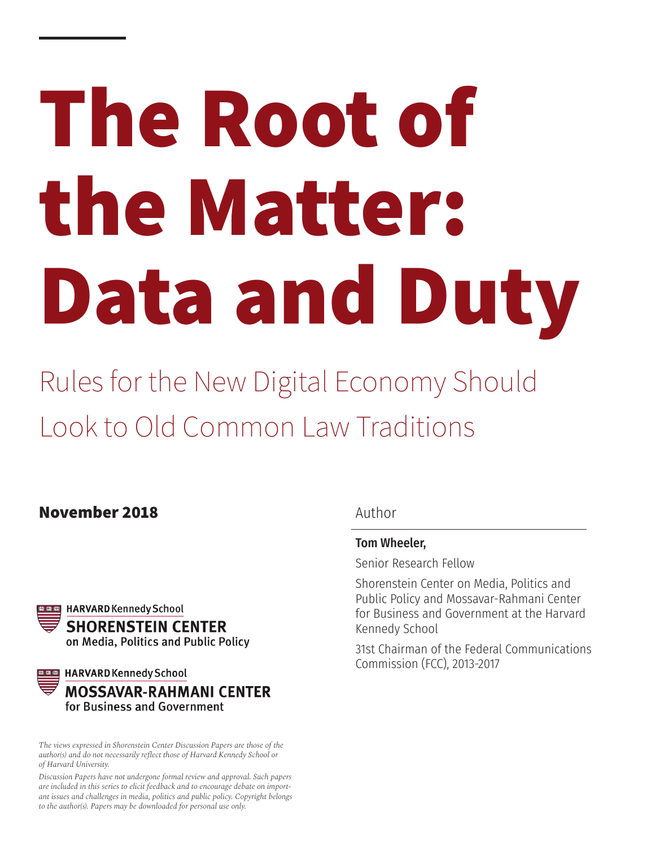# **The Root of the Matter: Data and Duty**

Rules for the New Digital Economy Should Look to Old Common Law Traditions

## **November 2018**



**DIGIES** HARVARD Kennedy School **MOSSAVAR-RAHMANI CENTER** for Business and Government

*The views expressed in Shorenstein Center Discussion Papers are those of the author(s) and do not necessarily reflect those of Harvard Kennedy School or of Harvard University.*

*Discussion Papers have not undergone formal review and approval. Such papers are included in this series to elicit feedback and to encourage debate on important issues and challenges in media, politics and public policy. Copyright belongs to the author(s). Papers may be downloaded for personal use only.*

Author

## Tom Wheeler,

Senior Research Fellow

Shorenstein Center on Media, Politics and Public Policy and Mossavar-Rahmani Center for Business and Government at the Harvard Kennedy School

31st Chairman of the Federal Communications Commission (FCC), 2013-2017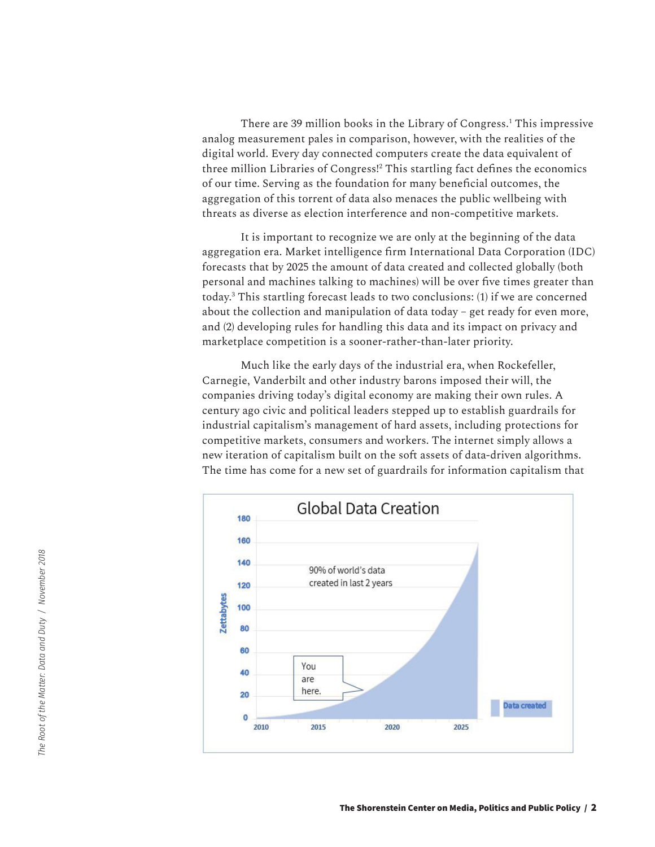There are 39 million books in the Library of Congress.1 This impressive analog measurement pales in comparison, however, with the realities of the digital world. Every day connected computers create the data equivalent of three million Libraries of Congress!2 This startling fact defines the economics of our time. Serving as the foundation for many beneficial outcomes, the aggregation of this torrent of data also menaces the public wellbeing with threats as diverse as election interference and non-competitive markets.

It is important to recognize we are only at the beginning of the data aggregation era. Market intelligence firm International Data Corporation (IDC) forecasts that by 2025 the amount of data created and collected globally (both personal and machines talking to machines) will be over five times greater than today.3 This startling forecast leads to two conclusions: (1) if we are concerned about the collection and manipulation of data today – get ready for even more, and (2) developing rules for handling this data and its impact on privacy and marketplace competition is a sooner-rather-than-later priority.

Much like the early days of the industrial era, when Rockefeller, Carnegie, Vanderbilt and other industry barons imposed their will, the companies driving today's digital economy are making their own rules. A century ago civic and political leaders stepped up to establish guardrails for industrial capitalism's management of hard assets, including protections for competitive markets, consumers and workers. The internet simply allows a new iteration of capitalism built on the soft assets of data-driven algorithms. The time has come for a new set of guardrails for information capitalism that

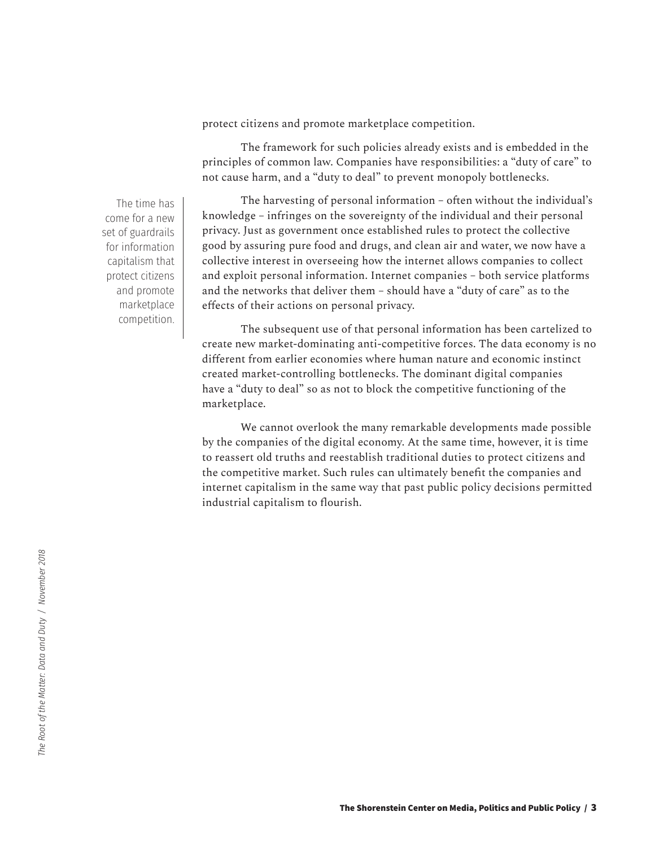protect citizens and promote marketplace competition.

The framework for such policies already exists and is embedded in the principles of common law. Companies have responsibilities: a "duty of care" to not cause harm, and a "duty to deal" to prevent monopoly bottlenecks.

The harvesting of personal information – often without the individual's knowledge – infringes on the sovereignty of the individual and their personal privacy. Just as government once established rules to protect the collective good by assuring pure food and drugs, and clean air and water, we now have a collective interest in overseeing how the internet allows companies to collect and exploit personal information. Internet companies – both service platforms and the networks that deliver them – should have a "duty of care" as to the effects of their actions on personal privacy.

The subsequent use of that personal information has been cartelized to create new market-dominating anti-competitive forces. The data economy is no different from earlier economies where human nature and economic instinct created market-controlling bottlenecks. The dominant digital companies have a "duty to deal" so as not to block the competitive functioning of the marketplace.

We cannot overlook the many remarkable developments made possible by the companies of the digital economy. At the same time, however, it is time to reassert old truths and reestablish traditional duties to protect citizens and the competitive market. Such rules can ultimately benefit the companies and internet capitalism in the same way that past public policy decisions permitted industrial capitalism to flourish.

The time has come for a new set of guardrails for information capitalism that protect citizens and promote marketplace competition.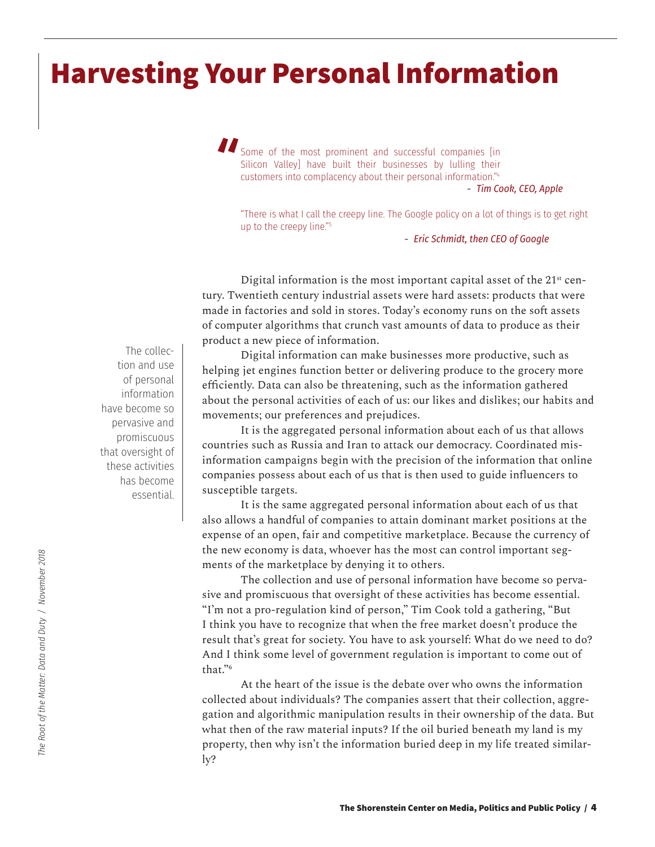## **Harvesting Your Personal Information**

Some of the most prominent and successful companies [in Silicon Valley] have built their businesses by lulling their customers into complacency about their personal information."4 *- Tim Cook, CEO, Apple* **"**

"There is what I call the creepy line. The Google policy on a lot of things is to get right up to the creepy line."<sup>5</sup>

*- Eric Schmidt, then CEO of Google*

Digital information is the most important capital asset of the  $21<sup>st</sup>$  century. Twentieth century industrial assets were hard assets: products that were made in factories and sold in stores. Today's economy runs on the soft assets of computer algorithms that crunch vast amounts of data to produce as their product a new piece of information.

Digital information can make businesses more productive, such as helping jet engines function better or delivering produce to the grocery more efficiently. Data can also be threatening, such as the information gathered about the personal activities of each of us: our likes and dislikes; our habits and movements; our preferences and prejudices.

It is the aggregated personal information about each of us that allows countries such as Russia and Iran to attack our democracy. Coordinated misinformation campaigns begin with the precision of the information that online companies possess about each of us that is then used to guide influencers to susceptible targets.

It is the same aggregated personal information about each of us that also allows a handful of companies to attain dominant market positions at the expense of an open, fair and competitive marketplace. Because the currency of the new economy is data, whoever has the most can control important segments of the marketplace by denying it to others.

The collection and use of personal information have become so pervasive and promiscuous that oversight of these activities has become essential. "I'm not a pro-regulation kind of person," Tim Cook told a gathering, "But I think you have to recognize that when the free market doesn't produce the result that's great for society. You have to ask yourself: What do we need to do? And I think some level of government regulation is important to come out of that."6

At the heart of the issue is the debate over who owns the information collected about individuals? The companies assert that their collection, aggregation and algorithmic manipulation results in their ownership of the data. But what then of the raw material inputs? If the oil buried beneath my land is my property, then why isn't the information buried deep in my life treated similarly?

The collection and use of personal information have become so pervasive and promiscuous that oversight of these activities has become essential.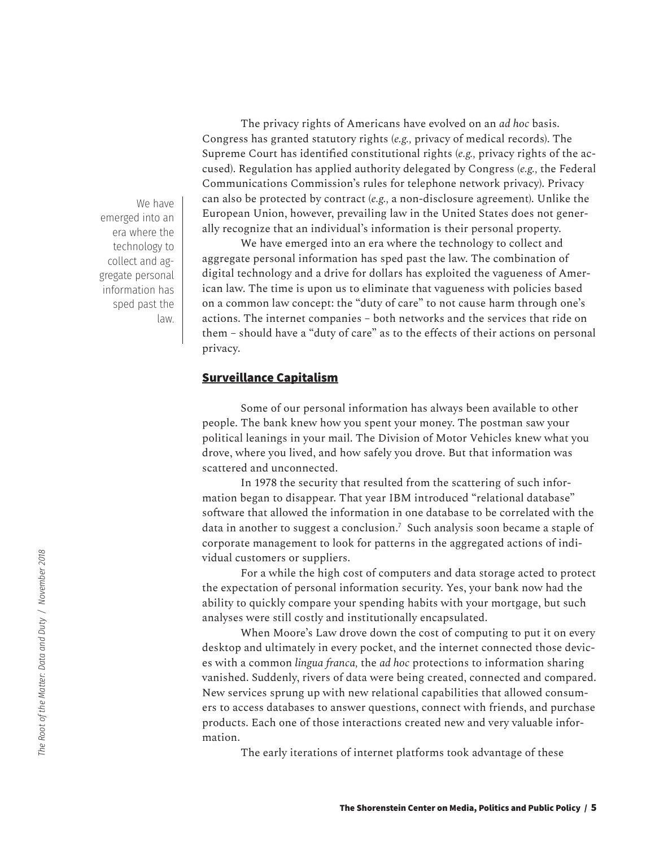We have emerged into an era where the technology to collect and aggregate personal information has sped past the law.

The privacy rights of Americans have evolved on an *ad hoc* basis. Congress has granted statutory rights (*e.g.,* privacy of medical records). The Supreme Court has identified constitutional rights (*e.g.,* privacy rights of the accused). Regulation has applied authority delegated by Congress (*e.g.,* the Federal Communications Commission's rules for telephone network privacy). Privacy can also be protected by contract (*e.g.,* a non-disclosure agreement). Unlike the European Union, however, prevailing law in the United States does not generally recognize that an individual's information is their personal property.

We have emerged into an era where the technology to collect and aggregate personal information has sped past the law. The combination of digital technology and a drive for dollars has exploited the vagueness of American law. The time is upon us to eliminate that vagueness with policies based on a common law concept: the "duty of care" to not cause harm through one's actions. The internet companies – both networks and the services that ride on them – should have a "duty of care" as to the effects of their actions on personal privacy.

## **Surveillance Capitalism**

Some of our personal information has always been available to other people. The bank knew how you spent your money. The postman saw your political leanings in your mail. The Division of Motor Vehicles knew what you drove, where you lived, and how safely you drove. But that information was scattered and unconnected.

In 1978 the security that resulted from the scattering of such information began to disappear. That year IBM introduced "relational database" software that allowed the information in one database to be correlated with the data in another to suggest a conclusion.7 Such analysis soon became a staple of corporate management to look for patterns in the aggregated actions of individual customers or suppliers.

For a while the high cost of computers and data storage acted to protect the expectation of personal information security. Yes, your bank now had the ability to quickly compare your spending habits with your mortgage, but such analyses were still costly and institutionally encapsulated.

When Moore's Law drove down the cost of computing to put it on every desktop and ultimately in every pocket, and the internet connected those devices with a common *lingua franca,* the *ad hoc* protections to information sharing vanished. Suddenly, rivers of data were being created, connected and compared. New services sprung up with new relational capabilities that allowed consumers to access databases to answer questions, connect with friends, and purchase products. Each one of those interactions created new and very valuable information.

The early iterations of internet platforms took advantage of these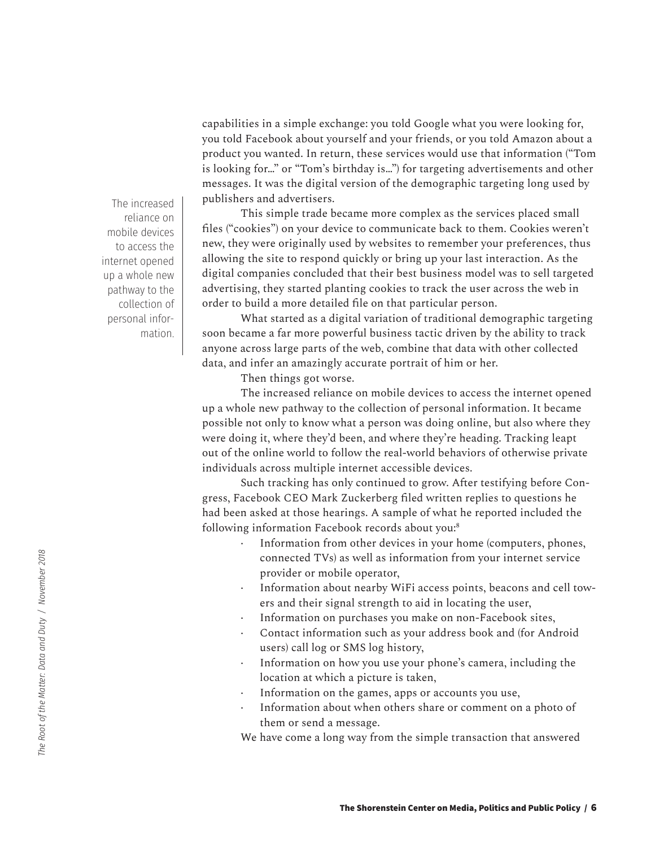capabilities in a simple exchange: you told Google what you were looking for, you told Facebook about yourself and your friends, or you told Amazon about a product you wanted. In return, these services would use that information ("Tom is looking for…" or "Tom's birthday is…") for targeting advertisements and other messages. It was the digital version of the demographic targeting long used by publishers and advertisers.

This simple trade became more complex as the services placed small files ("cookies") on your device to communicate back to them. Cookies weren't new, they were originally used by websites to remember your preferences, thus allowing the site to respond quickly or bring up your last interaction. As the digital companies concluded that their best business model was to sell targeted advertising, they started planting cookies to track the user across the web in order to build a more detailed file on that particular person.

What started as a digital variation of traditional demographic targeting soon became a far more powerful business tactic driven by the ability to track anyone across large parts of the web, combine that data with other collected data, and infer an amazingly accurate portrait of him or her.

Then things got worse.

The increased reliance on mobile devices to access the internet opened up a whole new pathway to the collection of personal information. It became possible not only to know what a person was doing online, but also where they were doing it, where they'd been, and where they're heading. Tracking leapt out of the online world to follow the real-world behaviors of otherwise private individuals across multiple internet accessible devices.

Such tracking has only continued to grow. After testifying before Congress, Facebook CEO Mark Zuckerberg filed written replies to questions he had been asked at those hearings. A sample of what he reported included the following information Facebook records about you:<sup>8</sup>

- Information from other devices in your home (computers, phones, connected TVs) as well as information from your internet service provider or mobile operator,
- · Information about nearby WiFi access points, beacons and cell towers and their signal strength to aid in locating the user,
- · Information on purchases you make on non-Facebook sites,
- Contact information such as your address book and (for Android users) call log or SMS log history,
- · Information on how you use your phone's camera, including the location at which a picture is taken,
- Information on the games, apps or accounts you use,
- Information about when others share or comment on a photo of them or send a message.

We have come a long way from the simple transaction that answered

The increased reliance on mobile devices to access the internet opened up a whole new pathway to the collection of personal information.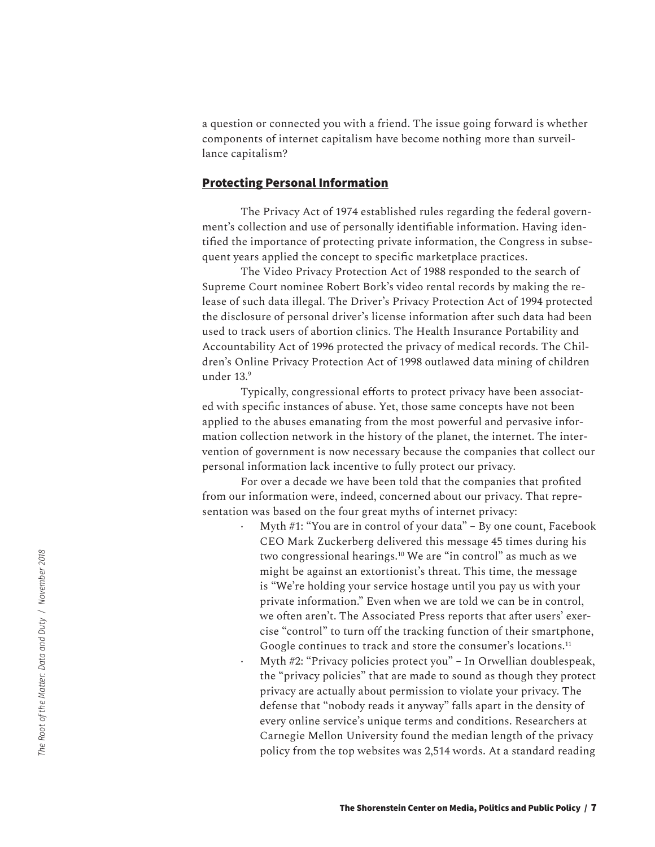a question or connected you with a friend. The issue going forward is whether components of internet capitalism have become nothing more than surveillance capitalism?

## **Protecting Personal Information**

The Privacy Act of 1974 established rules regarding the federal government's collection and use of personally identifiable information. Having identified the importance of protecting private information, the Congress in subsequent years applied the concept to specific marketplace practices.

The Video Privacy Protection Act of 1988 responded to the search of Supreme Court nominee Robert Bork's video rental records by making the release of such data illegal. The Driver's Privacy Protection Act of 1994 protected the disclosure of personal driver's license information after such data had been used to track users of abortion clinics. The Health Insurance Portability and Accountability Act of 1996 protected the privacy of medical records. The Children's Online Privacy Protection Act of 1998 outlawed data mining of children under 13.<sup>9</sup>

Typically, congressional efforts to protect privacy have been associated with specific instances of abuse. Yet, those same concepts have not been applied to the abuses emanating from the most powerful and pervasive information collection network in the history of the planet, the internet. The intervention of government is now necessary because the companies that collect our personal information lack incentive to fully protect our privacy.

For over a decade we have been told that the companies that profited from our information were, indeed, concerned about our privacy. That representation was based on the four great myths of internet privacy:

> Myth #1: "You are in control of your data" - By one count, Facebook CEO Mark Zuckerberg delivered this message 45 times during his two congressional hearings.10 We are "in control" as much as we might be against an extortionist's threat. This time, the message is "We're holding your service hostage until you pay us with your private information." Even when we are told we can be in control, we often aren't. The Associated Press reports that after users' exercise "control" to turn off the tracking function of their smartphone, Google continues to track and store the consumer's locations.<sup>11</sup> · Myth #2: "Privacy policies protect you" – In Orwellian doublespeak, the "privacy policies" that are made to sound as though they protect privacy are actually about permission to violate your privacy. The defense that "nobody reads it anyway" falls apart in the density of every online service's unique terms and conditions. Researchers at Carnegie Mellon University found the median length of the privacy policy from the top websites was 2,514 words. At a standard reading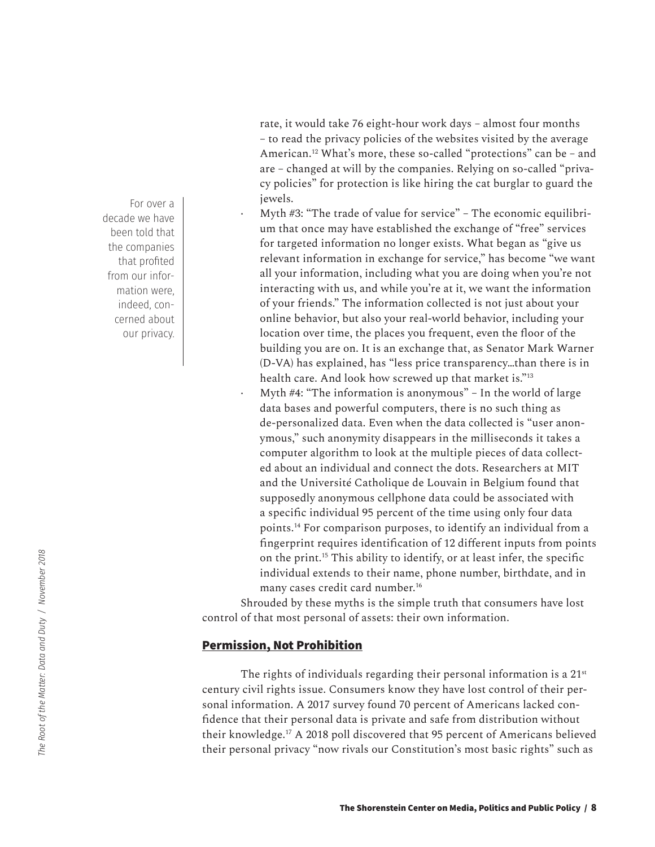rate, it would take 76 eight-hour work days – almost four months – to read the privacy policies of the websites visited by the average American.12 What's more, these so-called "protections" can be – and are – changed at will by the companies. Relying on so-called "privacy policies" for protection is like hiring the cat burglar to guard the jewels.

Myth #3: "The trade of value for service" – The economic equilibrium that once may have established the exchange of "free" services for targeted information no longer exists. What began as "give us relevant information in exchange for service," has become "we want all your information, including what you are doing when you're not interacting with us, and while you're at it, we want the information of your friends." The information collected is not just about your online behavior, but also your real-world behavior, including your location over time, the places you frequent, even the floor of the building you are on. It is an exchange that, as Senator Mark Warner (D-VA) has explained, has "less price transparency…than there is in health care. And look how screwed up that market is."13 Myth  $#4$ : "The information is anonymous" – In the world of large

data bases and powerful computers, there is no such thing as de-personalized data. Even when the data collected is "user anonymous," such anonymity disappears in the milliseconds it takes a computer algorithm to look at the multiple pieces of data collected about an individual and connect the dots. Researchers at MIT and the Université Catholique de Louvain in Belgium found that supposedly anonymous cellphone data could be associated with a specific individual 95 percent of the time using only four data points.14 For comparison purposes, to identify an individual from a fingerprint requires identification of 12 different inputs from points on the print.15 This ability to identify, or at least infer, the specific individual extends to their name, phone number, birthdate, and in many cases credit card number.16

Shrouded by these myths is the simple truth that consumers have lost control of that most personal of assets: their own information.

## **Permission, Not Prohibition**

The rights of individuals regarding their personal information is a  $21<sup>st</sup>$ century civil rights issue. Consumers know they have lost control of their personal information. A 2017 survey found 70 percent of Americans lacked confidence that their personal data is private and safe from distribution without their knowledge.17 A 2018 poll discovered that 95 percent of Americans believed their personal privacy "now rivals our Constitution's most basic rights" such as

For over a decade we have been told that the companies that profited from our information were, indeed, concerned about our privacy.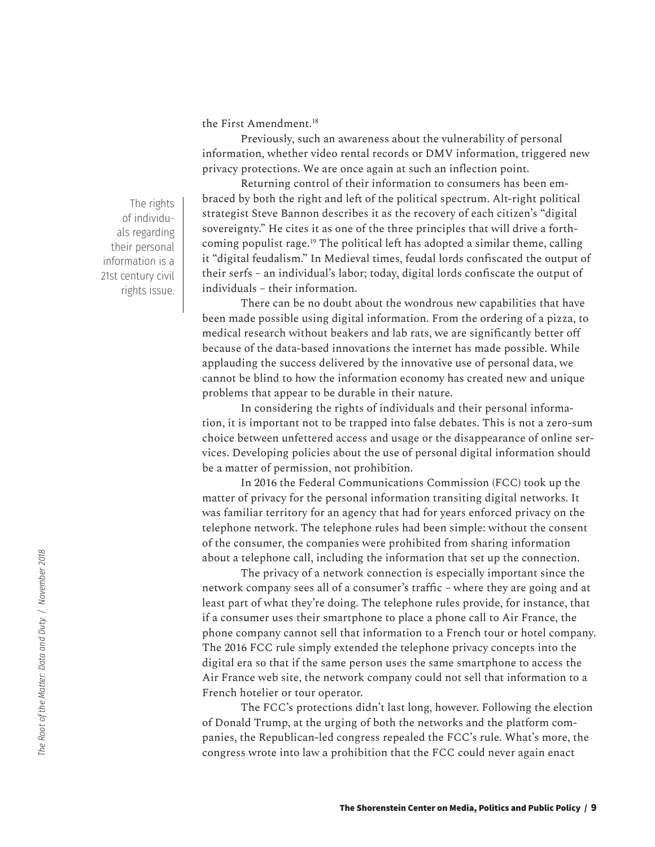the First Amendment.<sup>18</sup>

Previously, such an awareness about the vulnerability of personal information, whether video rental records or DMV information, triggered new privacy protections. We are once again at such an inflection point.

Returning control of their information to consumers has been embraced by both the right and left of the political spectrum. Alt-right political strategist Steve Bannon describes it as the recovery of each citizen's "digital sovereignty." He cites it as one of the three principles that will drive a forthcoming populist rage.19 The political left has adopted a similar theme, calling it "digital feudalism." In Medieval times, feudal lords confiscated the output of their serfs – an individual's labor; today, digital lords confiscate the output of individuals – their information.

There can be no doubt about the wondrous new capabilities that have been made possible using digital information. From the ordering of a pizza, to medical research without beakers and lab rats, we are significantly better off because of the data-based innovations the internet has made possible. While applauding the success delivered by the innovative use of personal data, we cannot be blind to how the information economy has created new and unique problems that appear to be durable in their nature.

In considering the rights of individuals and their personal information, it is important not to be trapped into false debates. This is not a zero-sum choice between unfettered access and usage or the disappearance of online services. Developing policies about the use of personal digital information should be a matter of permission, not prohibition.

In 2016 the Federal Communications Commission (FCC) took up the matter of privacy for the personal information transiting digital networks. It was familiar territory for an agency that had for years enforced privacy on the telephone network. The telephone rules had been simple: without the consent of the consumer, the companies were prohibited from sharing information about a telephone call, including the information that set up the connection.

The privacy of a network connection is especially important since the network company sees all of a consumer's traffic – where they are going and at least part of what they're doing. The telephone rules provide, for instance, that if a consumer uses their smartphone to place a phone call to Air France, the phone company cannot sell that information to a French tour or hotel company. The 2016 FCC rule simply extended the telephone privacy concepts into the digital era so that if the same person uses the same smartphone to access the Air France web site, the network company could not sell that information to a French hotelier or tour operator.

The FCC's protections didn't last long, however. Following the election of Donald Trump, at the urging of both the networks and the platform companies, the Republican-led congress repealed the FCC's rule. What's more, the congress wrote into law a prohibition that the FCC could never again enact

The rights of individuals regarding their personal information is a 21st century civil rights issue.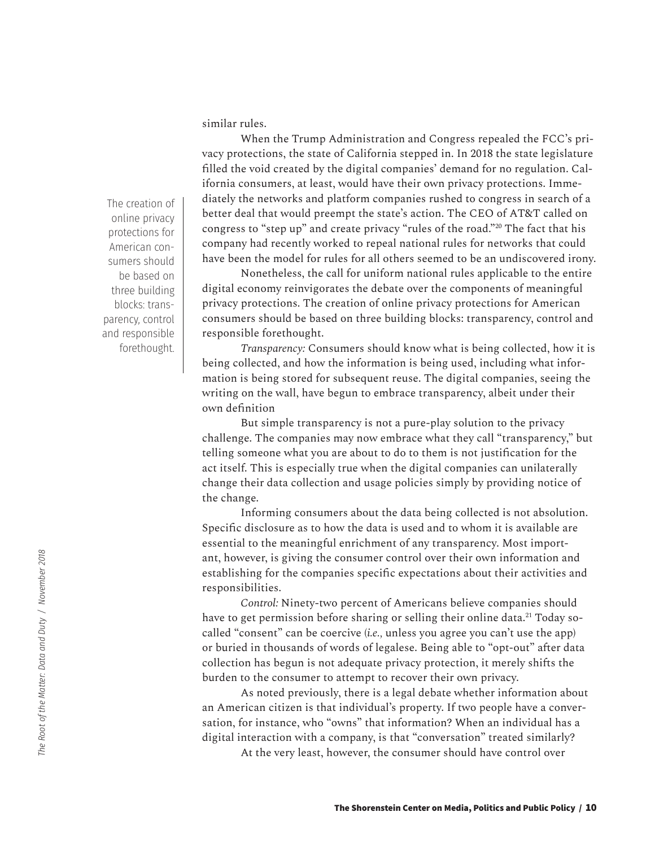similar rules.

When the Trump Administration and Congress repealed the FCC's privacy protections, the state of California stepped in. In 2018 the state legislature filled the void created by the digital companies' demand for no regulation. California consumers, at least, would have their own privacy protections. Immediately the networks and platform companies rushed to congress in search of a better deal that would preempt the state's action. The CEO of AT&T called on congress to "step up" and create privacy "rules of the road."20 The fact that his company had recently worked to repeal national rules for networks that could have been the model for rules for all others seemed to be an undiscovered irony.

Nonetheless, the call for uniform national rules applicable to the entire digital economy reinvigorates the debate over the components of meaningful privacy protections. The creation of online privacy protections for American consumers should be based on three building blocks: transparency, control and responsible forethought.

*Transparency:* Consumers should know what is being collected, how it is being collected, and how the information is being used, including what information is being stored for subsequent reuse. The digital companies, seeing the writing on the wall, have begun to embrace transparency, albeit under their own definition

But simple transparency is not a pure-play solution to the privacy challenge. The companies may now embrace what they call "transparency," but telling someone what you are about to do to them is not justification for the act itself. This is especially true when the digital companies can unilaterally change their data collection and usage policies simply by providing notice of the change.

Informing consumers about the data being collected is not absolution. Specific disclosure as to how the data is used and to whom it is available are essential to the meaningful enrichment of any transparency. Most important, however, is giving the consumer control over their own information and establishing for the companies specific expectations about their activities and responsibilities.

*Control:* Ninety-two percent of Americans believe companies should have to get permission before sharing or selling their online data.<sup>21</sup> Today socalled "consent" can be coercive (*i.e.,* unless you agree you can't use the app) or buried in thousands of words of legalese. Being able to "opt-out" after data collection has begun is not adequate privacy protection, it merely shifts the burden to the consumer to attempt to recover their own privacy.

As noted previously, there is a legal debate whether information about an American citizen is that individual's property. If two people have a conversation, for instance, who "owns" that information? When an individual has a digital interaction with a company, is that "conversation" treated similarly?

At the very least, however, the consumer should have control over

The creation of online privacy protections for American consumers should be based on three building blocks: transparency, control and responsible forethought.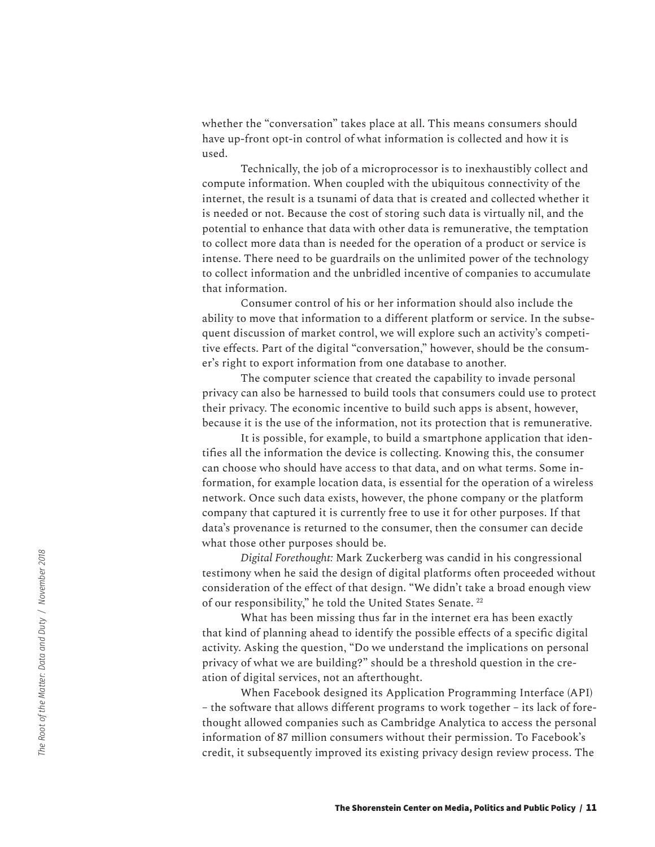whether the "conversation" takes place at all. This means consumers should have up-front opt-in control of what information is collected and how it is used.

Technically, the job of a microprocessor is to inexhaustibly collect and compute information. When coupled with the ubiquitous connectivity of the internet, the result is a tsunami of data that is created and collected whether it is needed or not. Because the cost of storing such data is virtually nil, and the potential to enhance that data with other data is remunerative, the temptation to collect more data than is needed for the operation of a product or service is intense. There need to be guardrails on the unlimited power of the technology to collect information and the unbridled incentive of companies to accumulate that information.

Consumer control of his or her information should also include the ability to move that information to a different platform or service. In the subsequent discussion of market control, we will explore such an activity's competitive effects. Part of the digital "conversation," however, should be the consumer's right to export information from one database to another.

The computer science that created the capability to invade personal privacy can also be harnessed to build tools that consumers could use to protect their privacy. The economic incentive to build such apps is absent, however, because it is the use of the information, not its protection that is remunerative.

It is possible, for example, to build a smartphone application that identifies all the information the device is collecting. Knowing this, the consumer can choose who should have access to that data, and on what terms. Some information, for example location data, is essential for the operation of a wireless network. Once such data exists, however, the phone company or the platform company that captured it is currently free to use it for other purposes. If that data's provenance is returned to the consumer, then the consumer can decide what those other purposes should be.

*Digital Forethought:* Mark Zuckerberg was candid in his congressional testimony when he said the design of digital platforms often proceeded without consideration of the effect of that design. "We didn't take a broad enough view of our responsibility," he told the United States Senate. <sup>22</sup>

What has been missing thus far in the internet era has been exactly that kind of planning ahead to identify the possible effects of a specific digital activity. Asking the question, "Do we understand the implications on personal privacy of what we are building?" should be a threshold question in the creation of digital services, not an afterthought.

When Facebook designed its Application Programming Interface (API) – the software that allows different programs to work together – its lack of forethought allowed companies such as Cambridge Analytica to access the personal information of 87 million consumers without their permission. To Facebook's credit, it subsequently improved its existing privacy design review process. The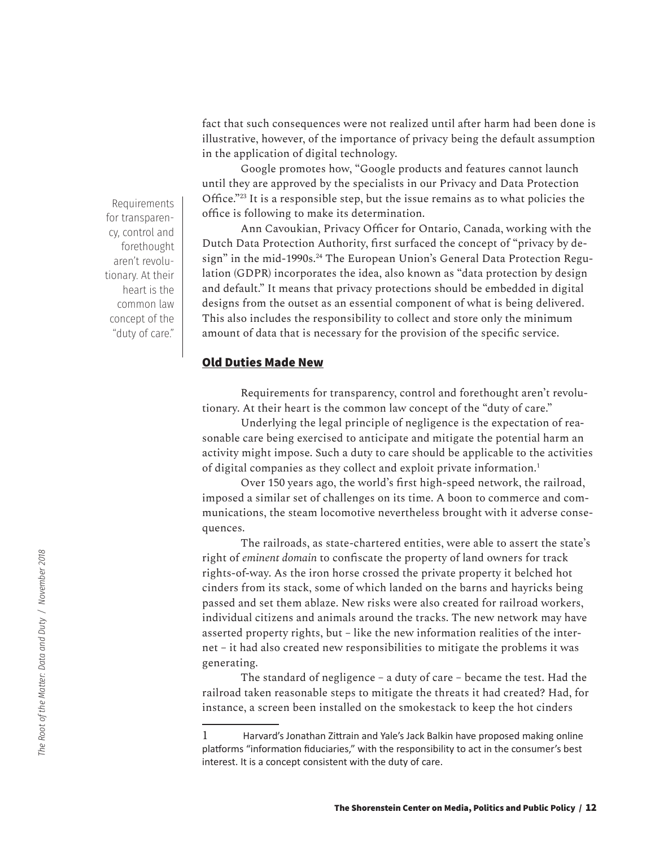fact that such consequences were not realized until after harm had been done is illustrative, however, of the importance of privacy being the default assumption in the application of digital technology.

Google promotes how, "Google products and features cannot launch until they are approved by the specialists in our Privacy and Data Protection Office."<sup>23</sup> It is a responsible step, but the issue remains as to what policies the office is following to make its determination.

Ann Cavoukian, Privacy Officer for Ontario, Canada, working with the Dutch Data Protection Authority, first surfaced the concept of "privacy by design" in the mid-1990s.<sup>24</sup> The European Union's General Data Protection Regulation (GDPR) incorporates the idea, also known as "data protection by design and default." It means that privacy protections should be embedded in digital designs from the outset as an essential component of what is being delivered. This also includes the responsibility to collect and store only the minimum amount of data that is necessary for the provision of the specific service.

### **Old Duties Made New**

Requirements for transparency, control and forethought aren't revolutionary. At their heart is the common law concept of the "duty of care."

Underlying the legal principle of negligence is the expectation of reasonable care being exercised to anticipate and mitigate the potential harm an activity might impose. Such a duty to care should be applicable to the activities of digital companies as they collect and exploit private information.1

Over 150 years ago, the world's first high-speed network, the railroad, imposed a similar set of challenges on its time. A boon to commerce and communications, the steam locomotive nevertheless brought with it adverse consequences.

The railroads, as state-chartered entities, were able to assert the state's right of *eminent domain* to confiscate the property of land owners for track rights-of-way. As the iron horse crossed the private property it belched hot cinders from its stack, some of which landed on the barns and hayricks being passed and set them ablaze. New risks were also created for railroad workers, individual citizens and animals around the tracks. The new network may have asserted property rights, but – like the new information realities of the internet – it had also created new responsibilities to mitigate the problems it was generating.

The standard of negligence – a duty of care – became the test. Had the railroad taken reasonable steps to mitigate the threats it had created? Had, for instance, a screen been installed on the smokestack to keep the hot cinders

Requirements for transparency, control and forethought aren't revolutionary. At their heart is the common law concept of the "duty of care."

<sup>1</sup> Harvard's Jonathan Zittrain and Yale's Jack Balkin have proposed making online platforms "information fiduciaries," with the responsibility to act in the consumer's best interest. It is a concept consistent with the duty of care.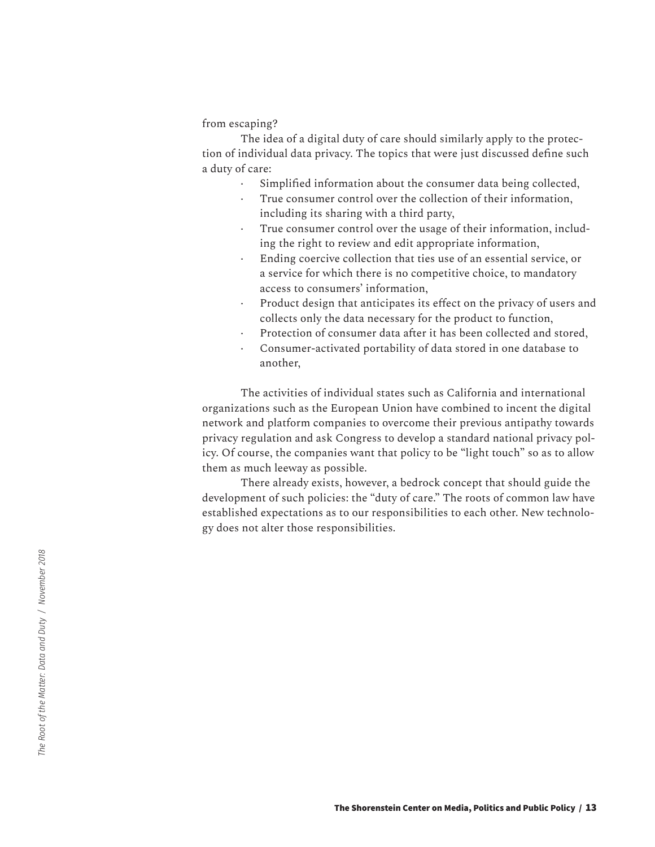#### from escaping?

The idea of a digital duty of care should similarly apply to the protection of individual data privacy. The topics that were just discussed define such a duty of care:

- · Simplified information about the consumer data being collected,
- True consumer control over the collection of their information, including its sharing with a third party,
- True consumer control over the usage of their information, including the right to review and edit appropriate information,
- Ending coercive collection that ties use of an essential service, or a service for which there is no competitive choice, to mandatory access to consumers' information,
- Product design that anticipates its effect on the privacy of users and collects only the data necessary for the product to function,
- Protection of consumer data after it has been collected and stored,
- · Consumer-activated portability of data stored in one database to another,

The activities of individual states such as California and international organizations such as the European Union have combined to incent the digital network and platform companies to overcome their previous antipathy towards privacy regulation and ask Congress to develop a standard national privacy policy. Of course, the companies want that policy to be "light touch" so as to allow them as much leeway as possible.

There already exists, however, a bedrock concept that should guide the development of such policies: the "duty of care." The roots of common law have established expectations as to our responsibilities to each other. New technology does not alter those responsibilities.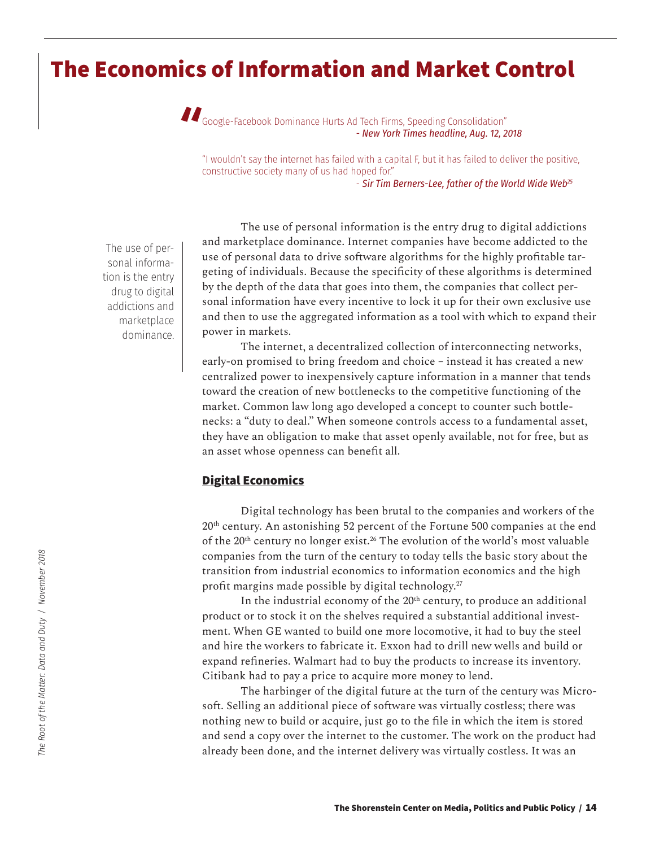## **The Economics of Information and Market Control**



"I wouldn't say the internet has failed with a capital F, but it has failed to deliver the positive, constructive society many of us had hoped for." - *Sir Tim Berners-Lee, father of the World Wide Web25*

The use of personal information is the entry drug to digital addictions and marketplace dominance.

The use of personal information is the entry drug to digital addictions and marketplace dominance. Internet companies have become addicted to the use of personal data to drive software algorithms for the highly profitable targeting of individuals. Because the specificity of these algorithms is determined by the depth of the data that goes into them, the companies that collect personal information have every incentive to lock it up for their own exclusive use and then to use the aggregated information as a tool with which to expand their power in markets.

The internet, a decentralized collection of interconnecting networks, early-on promised to bring freedom and choice – instead it has created a new centralized power to inexpensively capture information in a manner that tends toward the creation of new bottlenecks to the competitive functioning of the market. Common law long ago developed a concept to counter such bottlenecks: a "duty to deal." When someone controls access to a fundamental asset, they have an obligation to make that asset openly available, not for free, but as an asset whose openness can benefit all.

## **Digital Economics**

Digital technology has been brutal to the companies and workers of the 20<sup>th</sup> century. An astonishing 52 percent of the Fortune 500 companies at the end of the 20<sup>th</sup> century no longer exist.<sup>26</sup> The evolution of the world's most valuable companies from the turn of the century to today tells the basic story about the transition from industrial economics to information economics and the high profit margins made possible by digital technology.<sup>27</sup>

In the industrial economy of the  $20<sup>th</sup>$  century, to produce an additional product or to stock it on the shelves required a substantial additional investment. When GE wanted to build one more locomotive, it had to buy the steel and hire the workers to fabricate it. Exxon had to drill new wells and build or expand refineries. Walmart had to buy the products to increase its inventory. Citibank had to pay a price to acquire more money to lend.

The harbinger of the digital future at the turn of the century was Microsoft. Selling an additional piece of software was virtually costless; there was nothing new to build or acquire, just go to the file in which the item is stored and send a copy over the internet to the customer. The work on the product had already been done, and the internet delivery was virtually costless. It was an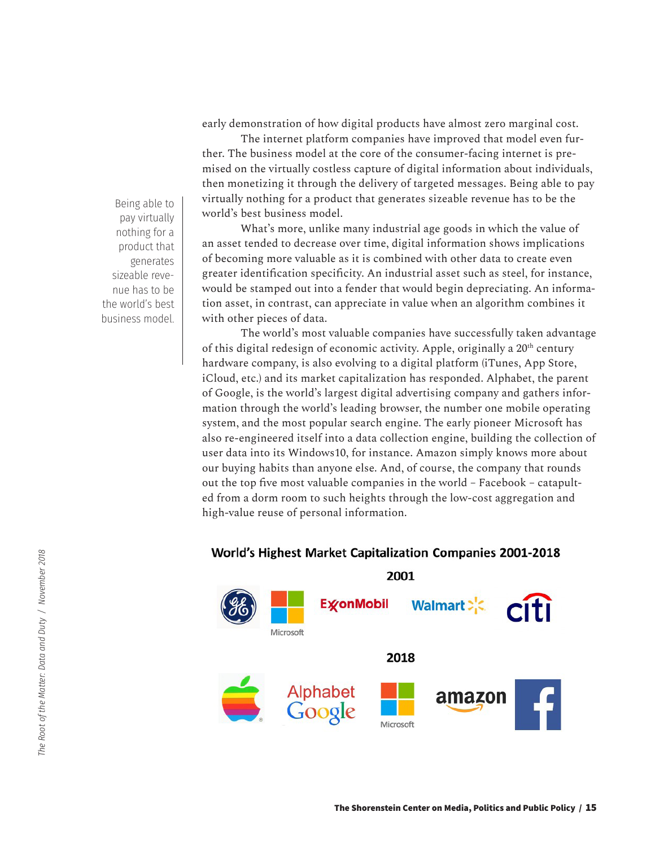early demonstration of how digital products have almost zero marginal cost.

The internet platform companies have improved that model even further. The business model at the core of the consumer-facing internet is premised on the virtually costless capture of digital information about individuals, then monetizing it through the delivery of targeted messages. Being able to pay virtually nothing for a product that generates sizeable revenue has to be the world's best business model.

What's more, unlike many industrial age goods in which the value of an asset tended to decrease over time, digital information shows implications of becoming more valuable as it is combined with other data to create even greater identification specificity. An industrial asset such as steel, for instance, would be stamped out into a fender that would begin depreciating. An information asset, in contrast, can appreciate in value when an algorithm combines it with other pieces of data.

The world's most valuable companies have successfully taken advantage of this digital redesign of economic activity. Apple, originally a 20<sup>th</sup> century hardware company, is also evolving to a digital platform (iTunes, App Store, iCloud, etc.) and its market capitalization has responded. Alphabet, the parent of Google, is the world's largest digital advertising company and gathers information through the world's leading browser, the number one mobile operating system, and the most popular search engine. The early pioneer Microsoft has also re-engineered itself into a data collection engine, building the collection of user data into its Windows10, for instance. Amazon simply knows more about our buying habits than anyone else. And, of course, the company that rounds out the top five most valuable companies in the world – Facebook – catapulted from a dorm room to such heights through the low-cost aggregation and high-value reuse of personal information.

## **World's Highest Market Capitalization Companies 2001-2018**



Being able to pay virtually nothing for a product that generates sizeable revenue has to be the world's best business model.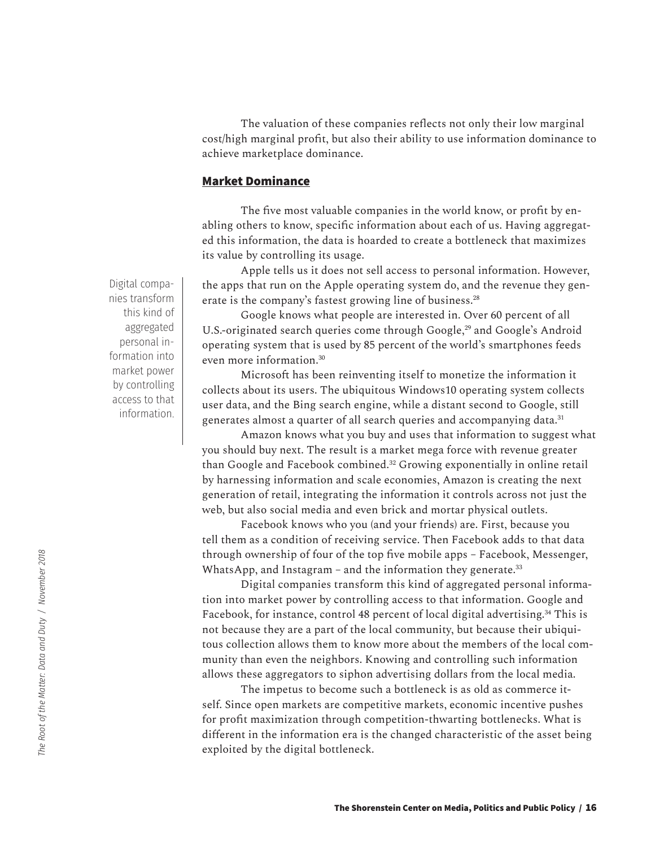The valuation of these companies reflects not only their low marginal cost/high marginal profit, but also their ability to use information dominance to achieve marketplace dominance.

### **Market Dominance**

The five most valuable companies in the world know, or profit by enabling others to know, specific information about each of us. Having aggregated this information, the data is hoarded to create a bottleneck that maximizes its value by controlling its usage.

Apple tells us it does not sell access to personal information. However, the apps that run on the Apple operating system do, and the revenue they generate is the company's fastest growing line of business.<sup>28</sup>

Google knows what people are interested in. Over 60 percent of all U.S.-originated search queries come through Google,<sup>29</sup> and Google's Android operating system that is used by 85 percent of the world's smartphones feeds even more information.30

Microsoft has been reinventing itself to monetize the information it collects about its users. The ubiquitous Windows10 operating system collects user data, and the Bing search engine, while a distant second to Google, still generates almost a quarter of all search queries and accompanying data.<sup>31</sup>

Amazon knows what you buy and uses that information to suggest what you should buy next. The result is a market mega force with revenue greater than Google and Facebook combined.32 Growing exponentially in online retail by harnessing information and scale economies, Amazon is creating the next generation of retail, integrating the information it controls across not just the web, but also social media and even brick and mortar physical outlets.

Facebook knows who you (and your friends) are. First, because you tell them as a condition of receiving service. Then Facebook adds to that data through ownership of four of the top five mobile apps – Facebook, Messenger, WhatsApp, and Instagram – and the information they generate. $33$ 

Digital companies transform this kind of aggregated personal information into market power by controlling access to that information. Google and Facebook, for instance, control 48 percent of local digital advertising.<sup>34</sup> This is not because they are a part of the local community, but because their ubiquitous collection allows them to know more about the members of the local community than even the neighbors. Knowing and controlling such information allows these aggregators to siphon advertising dollars from the local media.

The impetus to become such a bottleneck is as old as commerce itself. Since open markets are competitive markets, economic incentive pushes for profit maximization through competition-thwarting bottlenecks. What is different in the information era is the changed characteristic of the asset being exploited by the digital bottleneck.

Digital companies transform this kind of aggregated personal information into market power by controlling access to that information.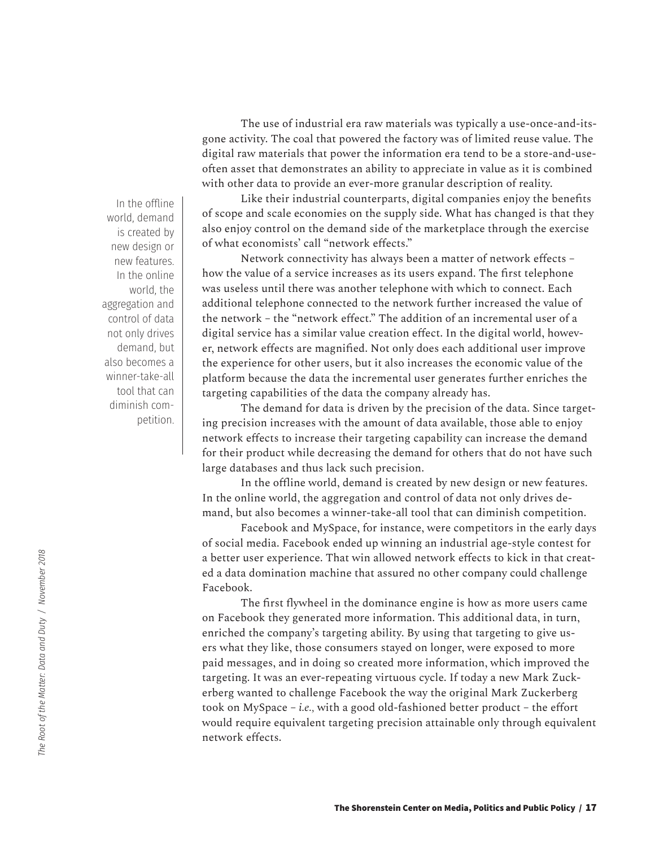In the offline world, demand is created by new design or new features. In the online world, the aggregation and control of data not only drives demand, but also becomes a winner-take-all tool that can diminish competition.

The use of industrial era raw materials was typically a use-once-and-itsgone activity. The coal that powered the factory was of limited reuse value. The digital raw materials that power the information era tend to be a store-and-useoften asset that demonstrates an ability to appreciate in value as it is combined with other data to provide an ever-more granular description of reality.

Like their industrial counterparts, digital companies enjoy the benefits of scope and scale economies on the supply side. What has changed is that they also enjoy control on the demand side of the marketplace through the exercise of what economists' call "network effects."

Network connectivity has always been a matter of network effects – how the value of a service increases as its users expand. The first telephone was useless until there was another telephone with which to connect. Each additional telephone connected to the network further increased the value of the network – the "network effect." The addition of an incremental user of a digital service has a similar value creation effect. In the digital world, however, network effects are magnified. Not only does each additional user improve the experience for other users, but it also increases the economic value of the platform because the data the incremental user generates further enriches the targeting capabilities of the data the company already has.

The demand for data is driven by the precision of the data. Since targeting precision increases with the amount of data available, those able to enjoy network effects to increase their targeting capability can increase the demand for their product while decreasing the demand for others that do not have such large databases and thus lack such precision.

In the offline world, demand is created by new design or new features. In the online world, the aggregation and control of data not only drives demand, but also becomes a winner-take-all tool that can diminish competition.

Facebook and MySpace, for instance, were competitors in the early days of social media. Facebook ended up winning an industrial age-style contest for a better user experience. That win allowed network effects to kick in that created a data domination machine that assured no other company could challenge Facebook.

The first flywheel in the dominance engine is how as more users came on Facebook they generated more information. This additional data, in turn, enriched the company's targeting ability. By using that targeting to give users what they like, those consumers stayed on longer, were exposed to more paid messages, and in doing so created more information, which improved the targeting. It was an ever-repeating virtuous cycle. If today a new Mark Zuckerberg wanted to challenge Facebook the way the original Mark Zuckerberg took on MySpace – *i.e.,* with a good old-fashioned better product – the effort would require equivalent targeting precision attainable only through equivalent network effects.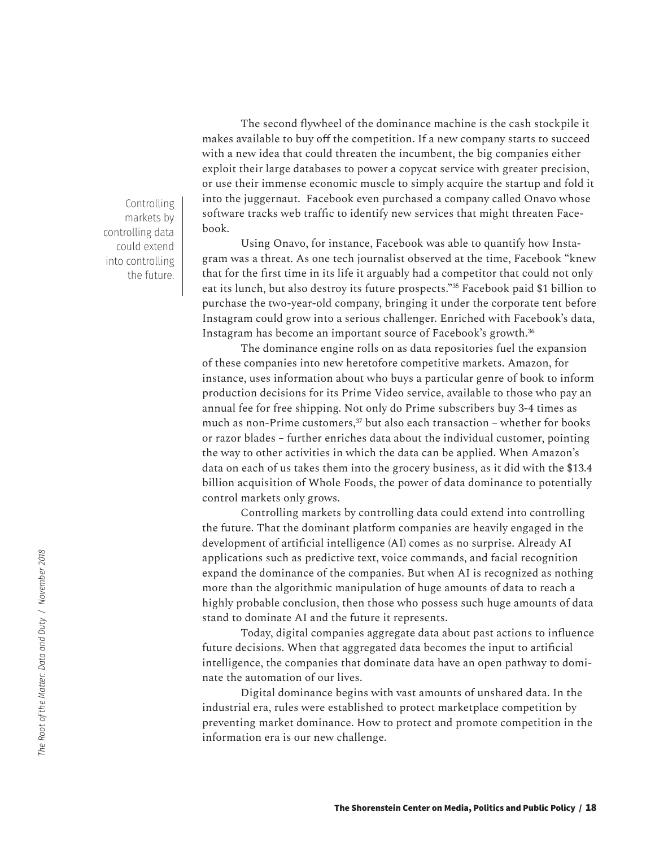The second flywheel of the dominance machine is the cash stockpile it makes available to buy off the competition. If a new company starts to succeed with a new idea that could threaten the incumbent, the big companies either exploit their large databases to power a copycat service with greater precision, or use their immense economic muscle to simply acquire the startup and fold it into the juggernaut. Facebook even purchased a company called Onavo whose software tracks web traffic to identify new services that might threaten Facebook.

Using Onavo, for instance, Facebook was able to quantify how Instagram was a threat. As one tech journalist observed at the time, Facebook "knew that for the first time in its life it arguably had a competitor that could not only eat its lunch, but also destroy its future prospects."35 Facebook paid \$1 billion to purchase the two-year-old company, bringing it under the corporate tent before Instagram could grow into a serious challenger. Enriched with Facebook's data, Instagram has become an important source of Facebook's growth.<sup>36</sup>

The dominance engine rolls on as data repositories fuel the expansion of these companies into new heretofore competitive markets. Amazon, for instance, uses information about who buys a particular genre of book to inform production decisions for its Prime Video service, available to those who pay an annual fee for free shipping. Not only do Prime subscribers buy 3-4 times as much as non-Prime customers, $37$  but also each transaction – whether for books or razor blades – further enriches data about the individual customer, pointing the way to other activities in which the data can be applied. When Amazon's data on each of us takes them into the grocery business, as it did with the \$13.4 billion acquisition of Whole Foods, the power of data dominance to potentially control markets only grows.

Controlling markets by controlling data could extend into controlling the future. That the dominant platform companies are heavily engaged in the development of artificial intelligence (AI) comes as no surprise. Already AI applications such as predictive text, voice commands, and facial recognition expand the dominance of the companies. But when AI is recognized as nothing more than the algorithmic manipulation of huge amounts of data to reach a highly probable conclusion, then those who possess such huge amounts of data stand to dominate AI and the future it represents.

Today, digital companies aggregate data about past actions to influence future decisions. When that aggregated data becomes the input to artificial intelligence, the companies that dominate data have an open pathway to dominate the automation of our lives.

Digital dominance begins with vast amounts of unshared data. In the industrial era, rules were established to protect marketplace competition by preventing market dominance. How to protect and promote competition in the information era is our new challenge.

Controlling markets by controlling data could extend into controlling the future.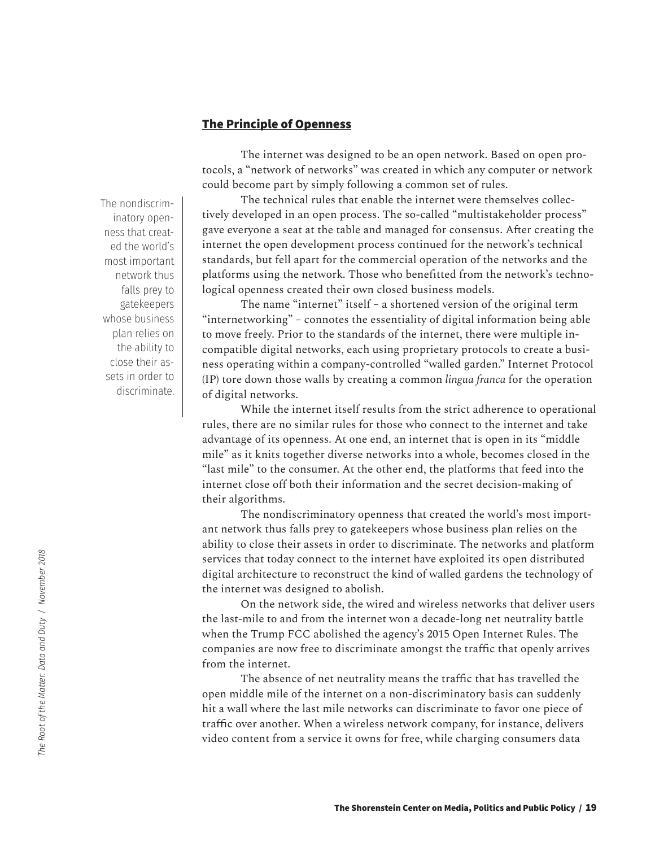## **The Principle of Openness**

The internet was designed to be an open network. Based on open protocols, a "network of networks" was created in which any computer or network could become part by simply following a common set of rules.

The technical rules that enable the internet were themselves collectively developed in an open process. The so-called "multistakeholder process" gave everyone a seat at the table and managed for consensus. After creating the internet the open development process continued for the network's technical standards, but fell apart for the commercial operation of the networks and the platforms using the network. Those who benefitted from the network's technological openness created their own closed business models.

The name "internet" itself – a shortened version of the original term "internetworking" – connotes the essentiality of digital information being able to move freely. Prior to the standards of the internet, there were multiple incompatible digital networks, each using proprietary protocols to create a business operating within a company-controlled "walled garden." Internet Protocol (IP) tore down those walls by creating a common *lingua franca* for the operation of digital networks.

While the internet itself results from the strict adherence to operational rules, there are no similar rules for those who connect to the internet and take advantage of its openness. At one end, an internet that is open in its "middle mile" as it knits together diverse networks into a whole, becomes closed in the "last mile" to the consumer. At the other end, the platforms that feed into the internet close off both their information and the secret decision-making of their algorithms.

The nondiscriminatory openness that created the world's most important network thus falls prey to gatekeepers whose business plan relies on the ability to close their assets in order to discriminate. The networks and platform services that today connect to the internet have exploited its open distributed digital architecture to reconstruct the kind of walled gardens the technology of the internet was designed to abolish.

On the network side, the wired and wireless networks that deliver users the last-mile to and from the internet won a decade-long net neutrality battle when the Trump FCC abolished the agency's 2015 Open Internet Rules. The companies are now free to discriminate amongst the traffic that openly arrives from the internet.

The absence of net neutrality means the traffic that has travelled the open middle mile of the internet on a non-discriminatory basis can suddenly hit a wall where the last mile networks can discriminate to favor one piece of traffic over another. When a wireless network company, for instance, delivers video content from a service it owns for free, while charging consumers data

The nondiscriminatory openness that created the world's most important network thus falls prey to gatekeepers whose business plan relies on the ability to close their assets in order to discriminate.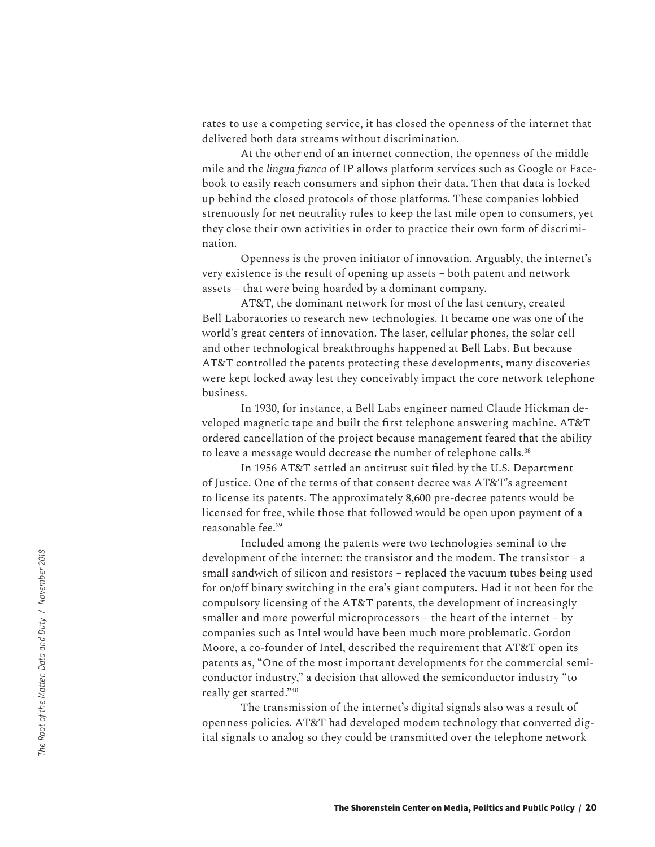rates to use a competing service, it has closed the openness of the internet that delivered both data streams without discrimination.

At the other end of an internet connection, the openness of the middle mile and the *lingua franca* of IP allows platform services such as Google or Facebook to easily reach consumers and siphon their data. Then that data is locked up behind the closed protocols of those platforms. These companies lobbied strenuously for net neutrality rules to keep the last mile open to consumers, yet they close their own activities in order to practice their own form of discrimination.

Openness is the proven initiator of innovation. Arguably, the internet's very existence is the result of opening up assets – both patent and network assets – that were being hoarded by a dominant company.

AT&T, the dominant network for most of the last century, created Bell Laboratories to research new technologies. It became one was one of the world's great centers of innovation. The laser, cellular phones, the solar cell and other technological breakthroughs happened at Bell Labs. But because AT&T controlled the patents protecting these developments, many discoveries were kept locked away lest they conceivably impact the core network telephone business.

In 1930, for instance, a Bell Labs engineer named Claude Hickman developed magnetic tape and built the first telephone answering machine. AT&T ordered cancellation of the project because management feared that the ability to leave a message would decrease the number of telephone calls.<sup>38</sup>

In 1956 AT&T settled an antitrust suit filed by the U.S. Department of Justice. One of the terms of that consent decree was AT&T's agreement to license its patents. The approximately 8,600 pre-decree patents would be licensed for free, while those that followed would be open upon payment of a reasonable fee.39

Included among the patents were two technologies seminal to the development of the internet: the transistor and the modem. The transistor – a small sandwich of silicon and resistors – replaced the vacuum tubes being used for on/off binary switching in the era's giant computers. Had it not been for the compulsory licensing of the AT&T patents, the development of increasingly smaller and more powerful microprocessors – the heart of the internet – by companies such as Intel would have been much more problematic. Gordon Moore, a co-founder of Intel, described the requirement that AT&T open its patents as, "One of the most important developments for the commercial semiconductor industry," a decision that allowed the semiconductor industry "to really get started."<sup>40</sup>

The transmission of the internet's digital signals also was a result of openness policies. AT&T had developed modem technology that converted digital signals to analog so they could be transmitted over the telephone network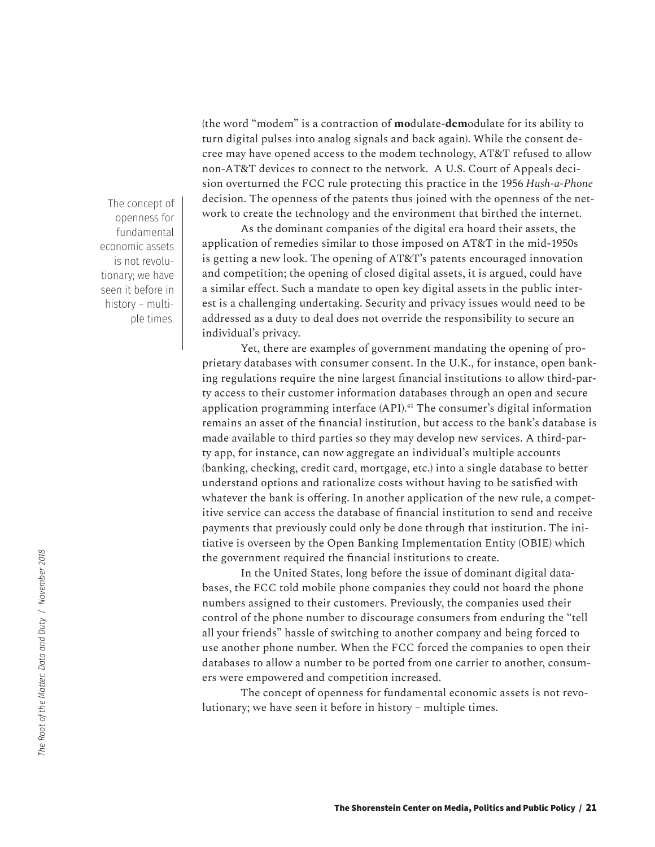(the word "modem" is a contraction of **mo**dulate-**dem**odulate for its ability to turn digital pulses into analog signals and back again). While the consent decree may have opened access to the modem technology, AT&T refused to allow non-AT&T devices to connect to the network. A U.S. Court of Appeals decision overturned the FCC rule protecting this practice in the 1956 *Hush-a-Phone*  decision. The openness of the patents thus joined with the openness of the network to create the technology and the environment that birthed the internet.

As the dominant companies of the digital era hoard their assets, the application of remedies similar to those imposed on AT&T in the mid-1950s is getting a new look. The opening of AT&T's patents encouraged innovation and competition; the opening of closed digital assets, it is argued, could have a similar effect. Such a mandate to open key digital assets in the public interest is a challenging undertaking. Security and privacy issues would need to be addressed as a duty to deal does not override the responsibility to secure an individual's privacy.

Yet, there are examples of government mandating the opening of proprietary databases with consumer consent. In the U.K., for instance, open banking regulations require the nine largest financial institutions to allow third-party access to their customer information databases through an open and secure application programming interface (API).<sup>41</sup> The consumer's digital information remains an asset of the financial institution, but access to the bank's database is made available to third parties so they may develop new services. A third-party app, for instance, can now aggregate an individual's multiple accounts (banking, checking, credit card, mortgage, etc.) into a single database to better understand options and rationalize costs without having to be satisfied with whatever the bank is offering. In another application of the new rule, a competitive service can access the database of financial institution to send and receive payments that previously could only be done through that institution. The initiative is overseen by the Open Banking Implementation Entity (OBIE) which the government required the financial institutions to create.

In the United States, long before the issue of dominant digital databases, the FCC told mobile phone companies they could not hoard the phone numbers assigned to their customers. Previously, the companies used their control of the phone number to discourage consumers from enduring the "tell all your friends" hassle of switching to another company and being forced to use another phone number. When the FCC forced the companies to open their databases to allow a number to be ported from one carrier to another, consumers were empowered and competition increased.

The concept of openness for fundamental economic assets is not revolutionary; we have seen it before in history – multiple times.

The concept of openness for fundamental economic assets is not revolutionary; we have seen it before in history – multiple times.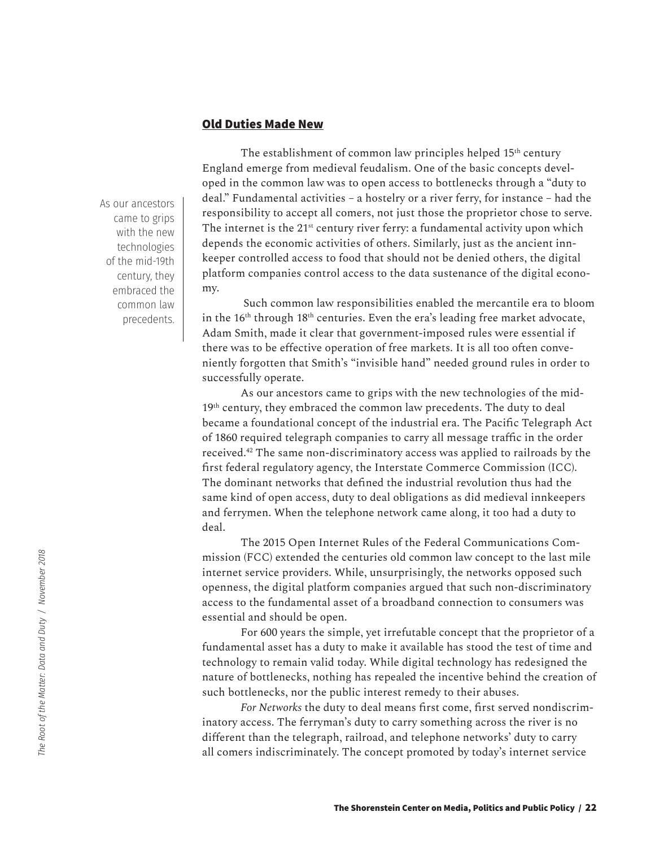## **Old Duties Made New**

As our ancestors came to grips with the new technologies of the mid-19th century, they embraced the common law precedents.

The establishment of common law principles helped 15<sup>th</sup> century England emerge from medieval feudalism. One of the basic concepts developed in the common law was to open access to bottlenecks through a "duty to deal." Fundamental activities – a hostelry or a river ferry, for instance – had the responsibility to accept all comers, not just those the proprietor chose to serve. The internet is the 21<sup>st</sup> century river ferry: a fundamental activity upon which depends the economic activities of others. Similarly, just as the ancient innkeeper controlled access to food that should not be denied others, the digital platform companies control access to the data sustenance of the digital economy.

 Such common law responsibilities enabled the mercantile era to bloom in the 16<sup>th</sup> through 18<sup>th</sup> centuries. Even the era's leading free market advocate, Adam Smith, made it clear that government-imposed rules were essential if there was to be effective operation of free markets. It is all too often conveniently forgotten that Smith's "invisible hand" needed ground rules in order to successfully operate.

As our ancestors came to grips with the new technologies of the mid-19<sup>th</sup> century, they embraced the common law precedents. The duty to deal became a foundational concept of the industrial era. The Pacific Telegraph Act of 1860 required telegraph companies to carry all message traffic in the order received.42 The same non-discriminatory access was applied to railroads by the first federal regulatory agency, the Interstate Commerce Commission (ICC). The dominant networks that defined the industrial revolution thus had the same kind of open access, duty to deal obligations as did medieval innkeepers and ferrymen. When the telephone network came along, it too had a duty to deal.

The 2015 Open Internet Rules of the Federal Communications Commission (FCC) extended the centuries old common law concept to the last mile internet service providers. While, unsurprisingly, the networks opposed such openness, the digital platform companies argued that such non-discriminatory access to the fundamental asset of a broadband connection to consumers was essential and should be open.

For 600 years the simple, yet irrefutable concept that the proprietor of a fundamental asset has a duty to make it available has stood the test of time and technology to remain valid today. While digital technology has redesigned the nature of bottlenecks, nothing has repealed the incentive behind the creation of such bottlenecks, nor the public interest remedy to their abuses.

*For Networks* the duty to deal means first come, first served nondiscriminatory access. The ferryman's duty to carry something across the river is no different than the telegraph, railroad, and telephone networks' duty to carry all comers indiscriminately. The concept promoted by today's internet service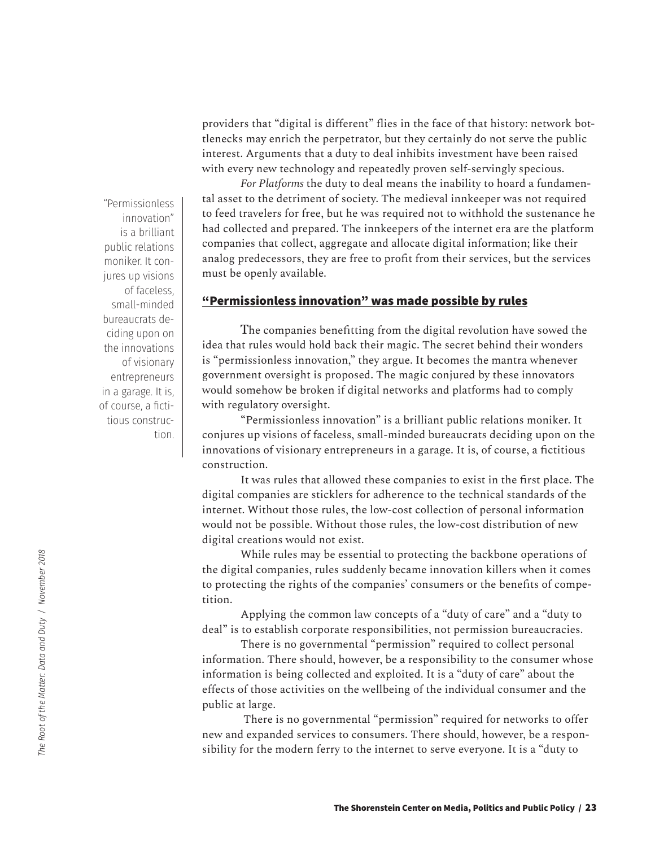providers that "digital is different" flies in the face of that history: network bottlenecks may enrich the perpetrator, but they certainly do not serve the public interest. Arguments that a duty to deal inhibits investment have been raised with every new technology and repeatedly proven self-servingly specious.

*For Platforms* the duty to deal means the inability to hoard a fundamental asset to the detriment of society. The medieval innkeeper was not required to feed travelers for free, but he was required not to withhold the sustenance he had collected and prepared. The innkeepers of the internet era are the platform companies that collect, aggregate and allocate digital information; like their analog predecessors, they are free to profit from their services, but the services must be openly available.

## **"Permissionless innovation" was made possible by rules**

The companies benefitting from the digital revolution have sowed the idea that rules would hold back their magic. The secret behind their wonders is "permissionless innovation," they argue. It becomes the mantra whenever government oversight is proposed. The magic conjured by these innovators would somehow be broken if digital networks and platforms had to comply with regulatory oversight.

"Permissionless innovation" is a brilliant public relations moniker. It conjures up visions of faceless, small-minded bureaucrats deciding upon on the innovations of visionary entrepreneurs in a garage. It is, of course, a fictitious construction.

It was rules that allowed these companies to exist in the first place. The digital companies are sticklers for adherence to the technical standards of the internet. Without those rules, the low-cost collection of personal information would not be possible. Without those rules, the low-cost distribution of new digital creations would not exist.

While rules may be essential to protecting the backbone operations of the digital companies, rules suddenly became innovation killers when it comes to protecting the rights of the companies' consumers or the benefits of competition.

Applying the common law concepts of a "duty of care" and a "duty to deal" is to establish corporate responsibilities, not permission bureaucracies.

There is no governmental "permission" required to collect personal information. There should, however, be a responsibility to the consumer whose information is being collected and exploited. It is a "duty of care" about the effects of those activities on the wellbeing of the individual consumer and the public at large.

 There is no governmental "permission" required for networks to offer new and expanded services to consumers. There should, however, be a responsibility for the modern ferry to the internet to serve everyone. It is a "duty to

"Permissionless innovation" is a brilliant public relations moniker. It conjures up visions of faceless, small-minded bureaucrats deciding upon on the innovations of visionary entrepreneurs in a garage. It is, of course, a fictitious construction.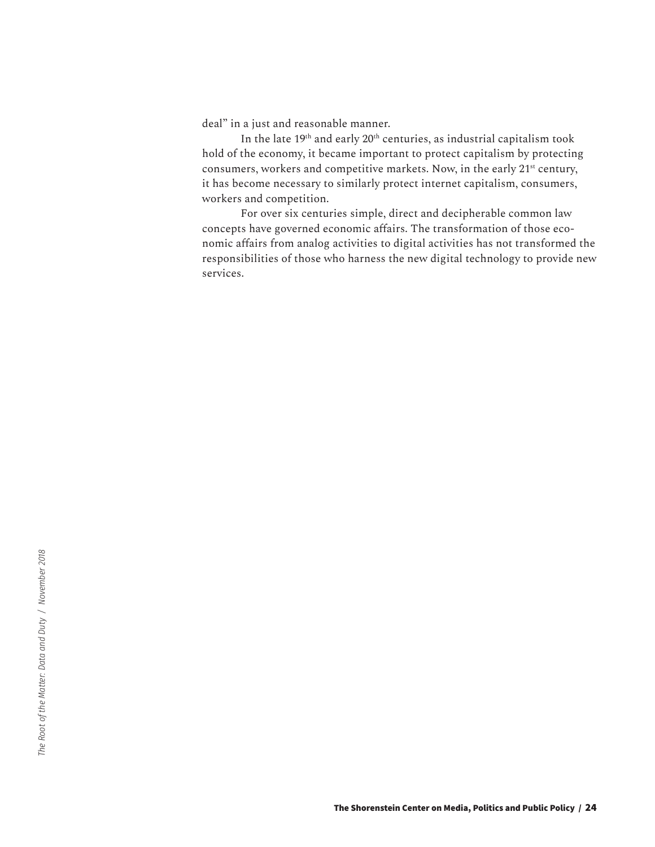deal" in a just and reasonable manner.

In the late 19<sup>th</sup> and early 20<sup>th</sup> centuries, as industrial capitalism took hold of the economy, it became important to protect capitalism by protecting consumers, workers and competitive markets. Now, in the early 21<sup>st</sup> century, it has become necessary to similarly protect internet capitalism, consumers, workers and competition.

For over six centuries simple, direct and decipherable common law concepts have governed economic affairs. The transformation of those economic affairs from analog activities to digital activities has not transformed the responsibilities of those who harness the new digital technology to provide new services.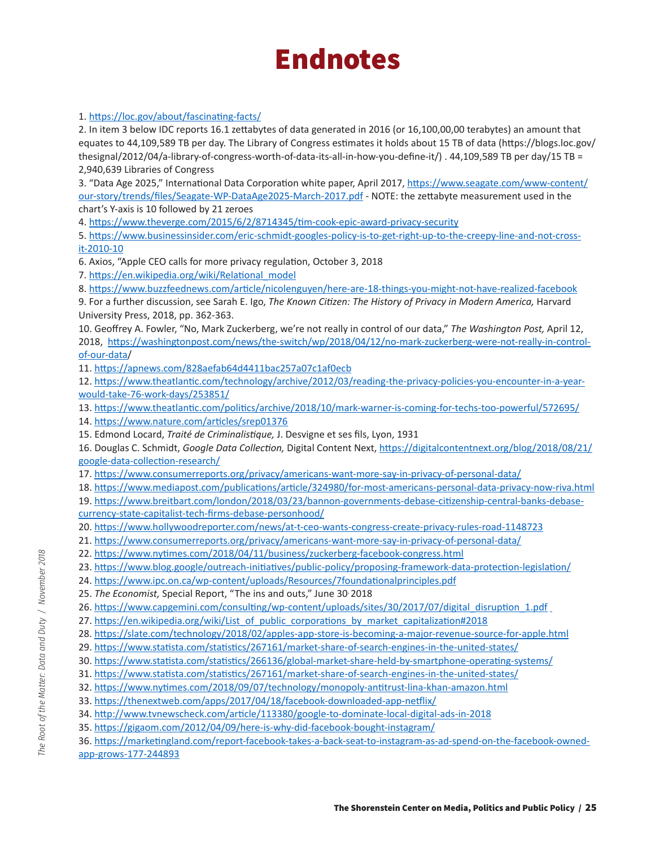# **Endnotes**

#### 1. https://loc.gov/about/fascinating-facts/

2. In item 3 below IDC reports 16.1 zettabytes of data generated in 2016 (or 16,100,00,00 terabytes) an amount that equates to 44,109,589 TB per day. The Library of Congress estimates it holds about 15 TB of data (https://blogs.loc.gov/ thesignal/2012/04/a-library-of-congress-worth-of-data-its-all-in-how-you-define-it/) . 44,109,589 TB per day/15 TB = 2,940,639 Libraries of Congress

3. "Data Age 2025," International Data Corporation white paper, April 2017, https://www.seagate.com/www-content/ our-story/trends/files/Seagate-WP-DataAge2025-March-2017.pdf - NOTE: the zettabyte measurement used in the chart's Y-axis is 10 followed by 21 zeroes

4. https://www.theverge.com/2015/6/2/8714345/tim-cook-epic-award-privacy-security

5. https://www.businessinsider.com/eric-schmidt-googles-policy-is-to-get-right-up-to-the-creepy-line-and-not-crossit-2010-10

6. Axios, "Apple CEO calls for more privacy regulation, October 3, 2018

7. https://en.wikipedia.org/wiki/Relational\_model

8. https://www.buzzfeednews.com/article/nicolenguyen/here-are-18-things-you-might-not-have-realized-facebook

9. For a further discussion, see Sarah E. Igo, *The Known Citizen: The History of Privacy in Modern America*, Harvard University Press, 2018, pp. 362-363.

10. Geoffrey A. Fowler, "No, Mark Zuckerberg, we're not really in control of our data," *The Washington Post,* April 12, 2018, https://washingtonpost.com/news/the-switch/wp/2018/04/12/no-mark-zuckerberg-were-not-really-in-controlof-our-data/

11. https://apnews.com/828aefab64d4411bac257a07c1af0ecb

12. https://www.theatlantic.com/technology/archive/2012/03/reading-the-privacy-policies-you-encounter-in-a-yearwould-take-76-work-days/253851/

13. https://www.theatlantic.com/politics/archive/2018/10/mark-warner-is-coming-for-techs-too-powerful/572695/

14. https://www.nature.com/articles/srep01376

15. Edmond Locard, *Traité de Criminalistique,* J. Desvigne et ses fils, Lyon, 1931

16. Douglas C. Schmidt, *Google Data Collection,* Digital Content Next, https://digitalcontentnext.org/blog/2018/08/21/ google-data-collection-research/

17. https://www.consumerreports.org/privacy/americans-want-more-say-in-privacy-of-personal-data/

18. https://www.mediapost.com/publications/article/324980/for-most-americans-personal-data-privacy-now-riva.html

19. https://www.breitbart.com/london/2018/03/23/bannon-governments-debase-citizenship-central-banks-debasecurrency-state-capitalist-tech-firms-debase-personhood/

- 20. https://www.hollywoodreporter.com/news/at-t-ceo-wants-congress-create-privacy-rules-road-1148723
- 21. https://www.consumerreports.org/privacy/americans-want-more-say-in-privacy-of-personal-data/
- 22. https://www.nytimes.com/2018/04/11/business/zuckerberg-facebook-congress.html
- 23. https://www.blog.google/outreach-initiatives/public-policy/proposing-framework-data-protection-legislation/
- 24. https://www.ipc.on.ca/wp-content/uploads/Resources/7foundationalprinciples.pdf
- 25. *The Economist,* Special Report, "The ins and outs," June 30, 2018
- 26. https://www.capgemini.com/consulting/wp-content/uploads/sites/30/2017/07/digital\_disruption\_1.pdf
- 27. https://en.wikipedia.org/wiki/List\_of\_public\_corporations\_by\_market\_capitalization#2018
- 28. https://slate.com/technology/2018/02/apples-app-store-is-becoming-a-major-revenue-source-for-apple.html
- 29. https://www.statista.com/statistics/267161/market-share-of-search-engines-in-the-united-states/
- 30. https://www.statista.com/statistics/266136/global-market-share-held-by-smartphone-operating-systems/
- 31. https://www.statista.com/statistics/267161/market-share-of-search-engines-in-the-united-states/
- 32. https://www.nytimes.com/2018/09/07/technology/monopoly-antitrust-lina-khan-amazon.html
- 33. https://thenextweb.com/apps/2017/04/18/facebook-downloaded-app-netflix/
- 34. http://www.tvnewscheck.com/article/113380/google-to-dominate-local-digital-ads-in-2018
- 35. https://gigaom.com/2012/04/09/here-is-why-did-facebook-bought-instagram/
- 36. https://marketingland.com/report-facebook-takes-a-back-seat-to-instagram-as-ad-spend-on-the-facebook-ownedapp-grows-177-244893